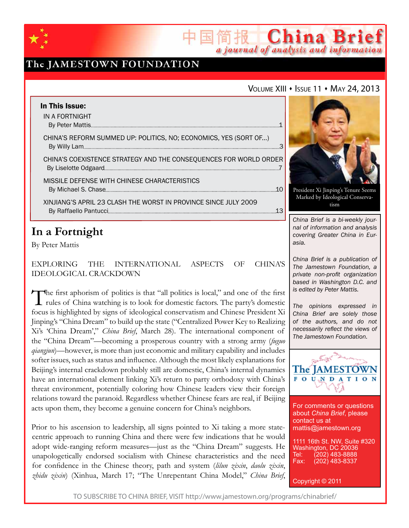

### The JAMESTOWN FOUNDATION

### VOLUME XIII • ISSUE 11 • MAY 24, 2013

简报 China Brief

a journal of analysis and information

| In This Issue:                                                        |  |
|-----------------------------------------------------------------------|--|
| IN A FORTNIGHT                                                        |  |
| CHINA'S REFORM SUMMED UP: POLITICS, NO; ECONOMICS, YES (SORT OF)      |  |
| CHINA'S COEXISTENCE STRATEGY AND THE CONSEQUENCES FOR WORLD ORDER     |  |
| MISSILE DEFENSE WITH CHINESE CHARACTERISTICS                          |  |
| XINJIANG'S APRIL 23 CLASH THE WORST IN PROVINCE SINCE JULY 2009<br>13 |  |

## **In a Fortnight**

By Peter Mattis

Exploring the International Aspects of China's Ideological Crackdown

The first aphorism of politics is that "all politics is local," and one of the first rules of China watching is to look for domestic factors. The party's domestic focus is highlighted by signs of ideological conservatism and Chinese President Xi Jinping's "China Dream" to build up the state ("Centralized Power Key to Realizing Xi's 'China Dream'," *China Brief*, March 28). The international component of the "China Dream"—becoming a prosperous country with a strong army (*fuguo qiangjun*)—however, is more than just economic and military capability and includes softer issues, such as status and influence. Although the most likely explanations for Beijing's internal crackdown probably still are domestic, China's internal dynamics have an international element linking Xi's return to party orthodoxy with China's threat environment, potentially coloring how Chinese leaders view their foreign relations toward the paranoid. Regardless whether Chinese fears are real, if Beijing acts upon them, they become a genuine concern for China's neighbors.

Prior to his ascension to leadership, all signs pointed to Xi taking a more statecentric approach to running China and there were few indications that he would adopt wide-ranging reform measures—just as the "China Dream" suggests. He unapologetically endorsed socialism with Chinese characteristics and the need for confidence in the Chinese theory, path and system (*lilun zixin*, *daolu zixin*, *zhidu zixin*) (Xinhua, March 17; "The Unrepentant China Model," *China Brief*,



President Xi Jinping's Tenure Seems Marked by Ideological Conservatism

*China Brief is a bi-weekly journal of information and analysis covering Greater China in Eurasia.* 

*China Brief is a publication of The Jamestown Foundation, a private non-profit organization based in Washington D.C. and is edited by Peter Mattis.*

*The opinions expressed in China Brief are solely those of the authors, and do not necessarily reflect the views of The Jamestown Foundation.*



For comments or questions about *China Brief*, please contact us at mattis@jamestown.org

1111 16th St. NW, Suite #320 Washington, DC 20036 Tel: (202) 483-8888<br>Fax: (202) 483-8337 (202) 483-8337

Copyright © 2011

TO SUBSCRIBE TO CHINA BRIEF, VISIT http://www.jamestown.org/programs/chinabrief/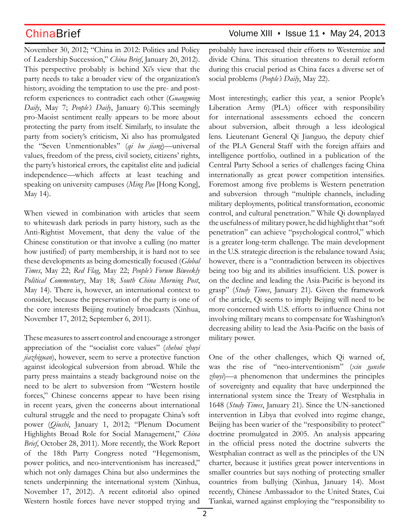November 30, 2012; "China in 2012: Politics and Policy of Leadership Succession," *China Brief*, January 20, 2012). This perspective probably is behind Xi's view that the party needs to take a broader view of the organization's history, avoiding the temptation to use the pre- and postreform experiences to contradict each other (*Guangming Daily*, May 7; *People's Daily*, January 6).This seemingly pro-Maoist sentiment really appears to be more about protecting the party from itself. Similarly, to insulate the party from society's criticism, Xi also has promulgated the "Seven Unmentionables" (*qi bu jiang*)—universal values, freedom of the press, civil society, citizens' rights, the party's historical errors, the capitalist elite and judicial independence—which affects at least teaching and speaking on university campuses (*Ming Pao* [Hong Kong], May 14).

When viewed in combination with articles that seem to whitewash dark periods in party history, such as the Anti-Rightist Movement, that deny the value of the Chinese constitution or that involve a culling (no matter how justified) of party membership, it is hard not to see these developments as being domestically focused (*Global Times*, May 22; *Red Flag*, May 22; *People's Forum Biweekly Political Commentary*, May 18; *South China Morning Post*, May 14). There is, however, an international context to consider, because the preservation of the party is one of the core interests Beijing routinely broadcasts (Xinhua, November 17, 2012; September 6, 2011).

These measures to assert control and encourage a stronger appreciation of the "socialist core values" (*shehui zhuyi jiazhiguan*), however, seem to serve a protective function against ideological subversion from abroad. While the party press maintains a steady background noise on the need to be alert to subversion from "Western hostile forces," Chinese concerns appear to have been rising in recent years, given the concerns about international cultural struggle and the need to propagate China's soft power (*Qiushi*, January 1, 2012; "Plenum Document Highlights Broad Role for Social Management," *China Brief*, October 28, 2011). More recently, the Work Report of the 18th Party Congress noted "Hegemonism, power politics, and neo-interventionism has increased," which not only damages China but also undermines the tenets underpinning the international system (Xinhua, November 17, 2012). A recent editorial also opined Western hostile forces have never stopped trying and

### $China Brief$  Volume XIII  $\cdot$  Issue 11  $\cdot$  May 24, 2013

probably have increased their efforts to Westernize and divide China. This situation threatens to derail reform during this crucial period as China faces a diverse set of social problems (*People's Daily*, May 22).

Most interestingly, earlier this year, a senior People's Liberation Army (PLA) officer with responsibility for international assessments echoed the concern about subversion, albeit through a less ideological lens. Lieutenant General Qi Jianguo, the deputy chief of the PLA General Staff with the foreign affairs and intelligence portfolio, outlined in a publication of the Central Party School a series of challenges facing China internationally as great power competition intensifies. Foremost among five problems is Western penetration and subversion through "multiple channels, including military deployments, political transformation, economic control, and cultural penetration." While Qi downplayed the usefulness of military power, he did highlight that "soft penetration" can achieve "psychological control," which is a greater long-term challenge. The main development in the U.S. strategic direction is the rebalance toward Asia; however, there is a "contradiction between its objectives being too big and its abilities insufficient. U.S. power is on the decline and leading the Asia-Pacific is beyond its grasp" (*Study Times*, January 21). Given the framework of the article, Qi seems to imply Beijing will need to be more concerned with U.S. efforts to influence China not involving military means to compensate for Washington's decreasing ability to lead the Asia-Pacific on the basis of military power.

One of the other challenges, which Qi warned of, was the rise of "neo-interventionism" (*xin ganshe zhuyi*)—a phenomenon that undermines the principles of sovereignty and equality that have underpinned the international system since the Treaty of Westphalia in 1648 (*Study Times*, January 21). Since the UN-sanctioned intervention in Libya that evolved into regime change, Beijing has been warier of the "responsibility to protect" doctrine promulgated in 2005. An analysis appearing in the official press noted the doctrine subverts the Westphalian contract as well as the principles of the UN charter, because it justifies great power interventions in smaller countries but says nothing of protecting smaller countries from bullying (Xinhua, January 14). Most recently, Chinese Ambassador to the United States, Cui Tiankai, warned against employing the "responsibility to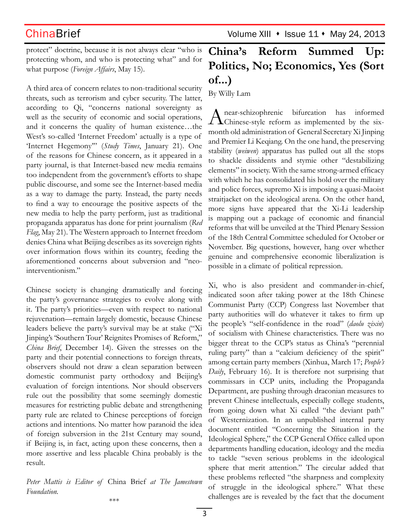protect" doctrine, because it is not always clear "who is protecting whom, and who is protecting what" and for what purpose (*Foreign Affairs*, May 15).

A third area of concern relates to non-traditional security threats, such as terrorism and cyber security. The latter, according to Qi, "concerns national sovereignty as well as the security of economic and social operations, and it concerns the quality of human existence…the West's so-called 'Internet Freedom' actually is a type of 'Internet Hegemony'" (*Study Times*, January 21). One of the reasons for Chinese concern, as it appeared in a party journal, is that Internet-based new media remains too independent from the government's efforts to shape public discourse, and some see the Internet-based media as a way to damage the party. Instead, the party needs to find a way to encourage the positive aspects of the new media to help the party perform, just as traditional propaganda apparatus has done for print journalism (*Red Flag*, May 21). The Western approach to Internet freedom denies China what Beijing describes as its sovereign rights over information flows within its country, feeding the aforementioned concerns about subversion and "neointerventionism."

Chinese society is changing dramatically and forcing the party's governance strategies to evolve along with it. The party's priorities—even with respect to national rejuvenation—remain largely domestic, because Chinese leaders believe the party's survival may be at stake ("Xi Jinping's 'Southern Tour' Reignites Promises of Reform," *China Brief*, December 14). Given the stresses on the party and their potential connections to foreign threats, observers should not draw a clean separation between domestic communist party orthodoxy and Beijing's evaluation of foreign intentions. Nor should observers rule out the possibility that some seemingly domestic measures for restricting public debate and strengthening party rule are related to Chinese perceptions of foreign actions and intentions. No matter how paranoid the idea of foreign subversion in the 21st Century may sound, if Beijing is, in fact, acting upon these concerns, then a more assertive and less placable China probably is the result.

*Peter Mattis is Editor of* China Brief *at The Jamestown Foundation.* \*\*\*

# **China's Reform Summed Up: Politics, No; Economics, Yes (Sort of...)**

By Willy Lam

A near-schizophrenic bifurcation has informed<br>Chinese-style reform as implemented by the sixmonth old administration of General Secretary Xi Jinping and Premier Li Keqiang. On the one hand, the preserving stability (*weiwen*) apparatus has pulled out all the stops to shackle dissidents and stymie other "destabilizing elements" in society. With the same strong-armed efficacy with which he has consolidated his hold over the military and police forces, supremo Xi is imposing a quasi-Maoist straitjacket on the ideological arena. On the other hand, more signs have appeared that the Xi-Li leadership is mapping out a package of economic and financial reforms that will be unveiled at the Third Plenary Session of the 18th Central Committee scheduled for October or November. Big questions, however, hang over whether genuine and comprehensive economic liberalization is possible in a climate of political repression.

Xi, who is also president and commander-in-chief, indicated soon after taking power at the 18th Chinese Communist Party (CCP) Congress last November that party authorities will do whatever it takes to firm up the people's "self-confidence in the road" (*daolu zixin*) of socialism with Chinese characteristics. There was no bigger threat to the CCP's status as China's "perennial ruling party" than a "calcium deficiency of the spirit" among certain party members (Xinhua, March 17; *People's Daily*, February 16). It is therefore not surprising that commissars in CCP units, including the Propaganda Department, are pushing through draconian measures to prevent Chinese intellectuals, especially college students, from going down what Xi called "the deviant path" of Westernization. In an unpublished internal party document entitled "Concerning the Situation in the Ideological Sphere," the CCP General Office called upon departments handling education, ideology and the media to tackle "seven serious problems in the ideological sphere that merit attention." The circular added that these problems reflected "the sharpness and complexity of struggle in the ideological sphere." What these challenges are is revealed by the fact that the document

3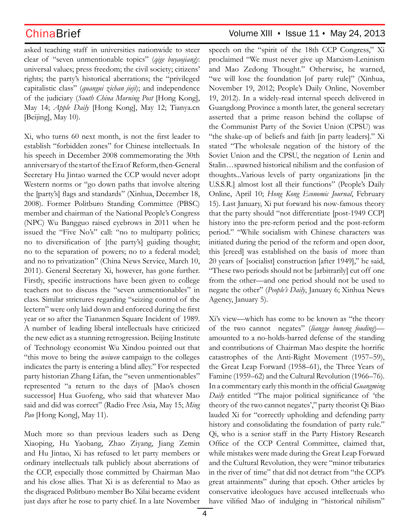asked teaching staff in universities nationwide to steer clear of "seven unmentionable topics" (*qige buyaojiang*): universal values; press freedom; the civil society; citizens' rights; the party's historical aberrations; the "privileged capitalistic class" (*quangui zichan jieji*); and independence of the judiciary (*South China Morning Post* [Hong Kong], May 14; *Apple Daily* [Hong Kong], May 12; Tianya.cn [Beijing], May 10).

Xi, who turns 60 next month, is not the first leader to establish "forbidden zones" for Chinese intellectuals. In his speech in December 2008 commemorating the 30th anniversary of the start of the Era of Reform, then-General Secretary Hu Jintao warned the CCP would never adopt Western norms or "go down paths that involve altering the [party's] flags and standards" (Xinhua, December 18, 2008). Former Politburo Standing Committee (PBSC) member and chairman of the National People's Congress (NPC) Wu Bangguo raised eyebrows in 2011 when he issued the "Five No's" call: "no to multiparty politics; no to diversification of [the party's] guiding thought; no to the separation of powers; no to a federal model; and no to privatization" (China News Service, March 10, 2011). General Secretary Xi, however, has gone further. Firstly, specific instructions have been given to college teachers not to discuss the "seven unmentionables" in class. Similar strictures regarding "seizing control of the lectern" were only laid down and enforced during the first year or so after the Tiananmen Square Incident of 1989. A number of leading liberal intellectuals have criticized the new edict as a stunning retrogression. Beijing Institute of Technology economist Wu Xindou pointed out that "this move to bring the *weiwen* campaign to the colleges indicates the party is entering a blind alley." For respected party historian Zhang Lifan, the "seven unmentionables" represented "a return to the days of [Mao's chosen successor] Hua Guofeng, who said that whatever Mao said and did was correct" (Radio Free Asia, May 15; *Ming Pao* [Hong Kong], May 11).

Much more so than previous leaders such as Deng Xiaoping, Hu Yaobang, Zhao Ziyang, Jiang Zemin and Hu Jintao, Xi has refused to let party members or ordinary intellectuals talk publicly about aberrations of the CCP, especially those committed by Chairman Mao and his close allies. That Xi is as deferential to Mao as the disgraced Politburo member Bo Xilai became evident just days after he rose to party chief. In a late November

### $China Brief$  Volume XIII  $\cdot$  Issue 11  $\cdot$  May 24, 2013

speech on the "spirit of the 18th CCP Congress," Xi proclaimed "We must never give up Marxism-Leninism and Mao Zedong Thought." Otherwise, he warned, "we will lose the foundation [of party rule]" (Xinhua, November 19, 2012; People's Daily Online, November 19, 2012). In a widely-read internal speech delivered in Guangdong Province a month later, the general secretary asserted that a prime reason behind the collapse of the Communist Party of the Soviet Union (CPSU) was "the shake-up of beliefs and faith [in party leaders]." Xi stated "The wholesale negation of the history of the Soviet Union and the CPSU, the negation of Lenin and Stalin…spawned historical nihilism and the confusion of thoughts...Various levels of party organizations [in the U.S.S.R.] almost lost all their functions" (People's Daily Online, April 10; *Hong Kong Economic Journal*, February 15). Last January, Xi put forward his now-famous theory that the party should "not differentiate [post-1949 CCP] history into the pre-reform period and the post-reform period." "While socialism with Chinese characters was initiated during the period of the reform and open door, this [creed] was established on the basis of more than 20 years of [socialist] construction [after 1949]," he said, "These two periods should not be [arbitrarily] cut off one from the other—and one period should not be used to negate the other" (*People's Daily*, January 6; Xinhua News Agency, January 5).

Xi's view—which has come to be known as "the theory of the two cannot negates" (*liangge buneng fouding*) amounted to a no-holds-barred defense of the standing and contributions of Chairman Mao despite the horrific catastrophes of the Anti-Right Movement (1957–59), the Great Leap Forward (1958–61), the Three Years of Famine (1959–62) and the Cultural Revolution (1966–76). In a commentary early this month in the official *Guangming Daily* entitled "The major political significance of 'the theory of the two cannot negates'," party theorist Qi Biao lauded Xi for "correctly upholding and defending party history and consolidating the foundation of party rule." Qi, who is a senior staff in the Party History Research Office of the CCP Central Committee, claimed that, while mistakes were made during the Great Leap Forward and the Cultural Revolution, they were "minor tributaries in the river of time" that did not detract from "the CCP's great attainments" during that epoch. Other articles by conservative ideologues have accused intellectuals who have vilified Mao of indulging in "historical nihilism"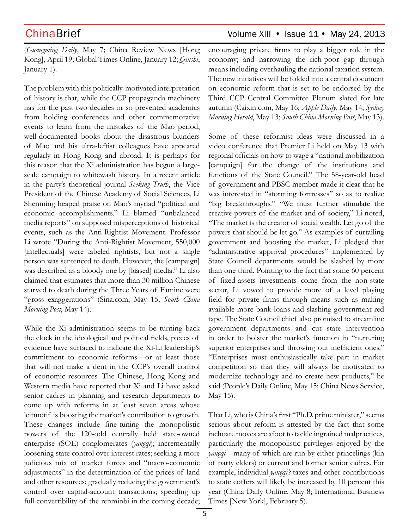(*Guangming Daily*, May 7; China Review News [Hong Kong], April 19; Global Times Online, January 12; *Qiushi*, January 1).

The problem with this politically-motivated interpretation of history is that, while the CCP propaganda machinery has for the past two decades or so prevented academics from holding conferences and other commemorative events to learn from the mistakes of the Mao period, well-documented books about the disastrous blunders of Mao and his ultra-leftist colleagues have appeared regularly in Hong Kong and abroad. It is perhaps for this reason that the Xi administration has begun a largescale campaign to whitewash history. In a recent article in the party's theoretical journal *Seeking Truth*, the Vice President of the Chinese Academy of Social Sciences, Li Shenming heaped praise on Mao's myriad "political and economic accomplishments." Li blamed "unbalanced media reports" on supposed misperceptions of historical events, such as the Anti-Rightist Movement. Professor Li wrote "During the Anti-Rightist Movement, 550,000 [intellectuals] were labeled rightists, but not a single person was sentenced to death. However, the [campaign] was described as a bloody one by [biased] media." Li also claimed that estimates that more than 30 million Chinese starved to death during the Three Years of Famine were "gross exaggerations" (Sina.com, May 15; *South China Morning Post*, May 14).

While the Xi administration seems to be turning back the clock in the ideological and political fields, pieces of evidence have surfaced to indicate the Xi-Li leadership's commitment to economic reforms—or at least those that will not make a dent in the CCP's overall control of economic resources. The Chinese, Hong Kong and Western media have reported that Xi and Li have asked senior cadres in planning and research departments to come up with reforms in at least seven areas whose leitmotif is boosting the market's contribution to growth. These changes include fine-tuning the monopolistic powers of the 120-odd centrally held state-owned enterprise (SOE) conglomerates (*yangqi*); incrementally loosening state control over interest rates; seeking a more judicious mix of market forces and "macro-economic adjustments" in the determination of the prices of land and other resources; gradually reducing the government's control over capital-account transactions; speeding up full convertibility of the renminbi in the coming decade;

encouraging private firms to play a bigger role in the economy; and narrowing the rich-poor gap through means including overhauling the national taxation system. The new initiatives will be folded into a central document on economic reform that is set to be endorsed by the Third CCP Central Committee Plenum slated for late autumn (Caixin.com, May 16; *Apple Daily*, May 14; *Sydney Morning Herald*, May 13; *South China Morning Post*, May 13).

Some of these reformist ideas were discussed in a video conference that Premier Li held on May 13 with regional officials on how to wage a "national mobilization [campaign] for the change of the institutions and functions of the State Council." The 58-year-old head of government and PBSC member made it clear that he was interested in "storming fortresses" so as to realize "big breakthroughs." "We must further stimulate the creative powers of the market and of society," Li noted, "The market is the creator of social wealth. Let go of the powers that should be let go." As examples of curtailing government and boosting the market, Li pledged that "administrative approval procedures" implemented by State Council departments would be slashed by more than one third. Pointing to the fact that some 60 percent of fixed-assets investments come from the non-state sector, Li vowed to provide more of a level playing field for private firms through means such as making available more bank loans and slashing government red tape. The State Council chief also promised to streamline government departments and cut state intervention in order to bolster the market's function in "nurturing superior enterprises and throwing out inefficient ones." "Enterprises must enthusiastically take part in market competition so that they will always be motivated to modernize technology and to create new products," he said (People's Daily Online, May 15; China News Service, May 15).

That Li, who is China's first "Ph.D. prime minister," seems serious about reform is attested by the fact that some inchoate moves are afoot to tackle ingrained malpractices, particularly the monopolistic privileges enjoyed by the *yangqi*—many of which are run by either princelings (kin of party elders) or current and former senior cadres. For example, individual *yangqi's* taxes and other contributions to state coffers will likely be increased by 10 percent this year (China Daily Online, May 8; International Business Times [New York], February 5).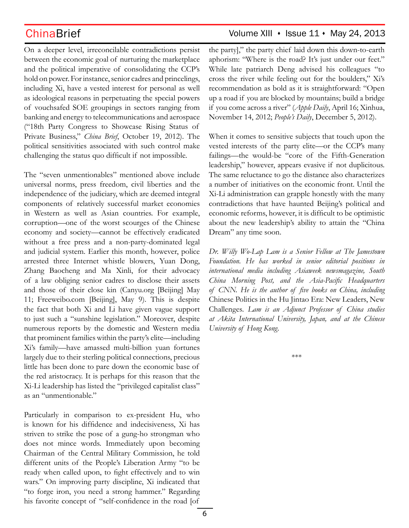On a deeper level, irreconcilable contradictions persist between the economic goal of nurturing the marketplace and the political imperative of consolidating the CCP's hold on power. For instance, senior cadres and princelings, including Xi, have a vested interest for personal as well as ideological reasons in perpetuating the special powers of vouchsafed SOE groupings in sectors ranging from banking and energy to telecommunications and aerospace ("18th Party Congress to Showcase Rising Status of Private Business," *China Brief*, October 19, 2012). The political sensitivities associated with such control make challenging the status quo difficult if not impossible.

The "seven unmentionables" mentioned above include universal norms, press freedom, civil liberties and the independence of the judiciary, which are deemed integral components of relatively successful market economies in Western as well as Asian countries. For example, corruption—one of the worst scourges of the Chinese economy and society—cannot be effectively eradicated without a free press and a non-party-dominated legal and judicial system. Earlier this month, however, police arrested three Internet whistle blowers, Yuan Dong, Zhang Baocheng and Ma Xinli, for their advocacy of a law obliging senior cadres to disclose their assets and those of their close kin (Canyu.org [Beijing] May 11; Freeweibo.com [Beijing], May 9). This is despite the fact that both Xi and Li have given vague support to just such a "sunshine legislation." Moreover, despite numerous reports by the domestic and Western media that prominent families within the party's elite—including Xi's family—have amassed multi-billion yuan fortunes largely due to their sterling political connections, precious little has been done to pare down the economic base of the red aristocracy. It is perhaps for this reason that the Xi-Li leadership has listed the "privileged capitalist class" as an "unmentionable."

Particularly in comparison to ex-president Hu, who is known for his diffidence and indecisiveness, Xi has striven to strike the pose of a gung-ho strongman who does not mince words. Immediately upon becoming Chairman of the Central Military Commission, he told different units of the People's Liberation Army "to be ready when called upon, to fight effectively and to win wars." On improving party discipline, Xi indicated that "to forge iron, you need a strong hammer." Regarding his favorite concept of "self-confidence in the road [of

### ChinaBrief ChinaBrief Volume XIII • Issue 11 • May 24, 2013

the party]," the party chief laid down this down-to-earth aphorism: "Where is the road? It's just under our feet." While late patriarch Deng advised his colleagues "to cross the river while feeling out for the boulders," Xi's recommendation as bold as it is straightforward: "Open up a road if you are blocked by mountains; build a bridge if you come across a river" (*Apple Daily*, April 16; Xinhua, November 14, 2012; *People's Daily*, December 5, 2012).

When it comes to sensitive subjects that touch upon the vested interests of the party elite—or the CCP's many failings—the would-be "core of the Fifth-Generation leadership," however, appears evasive if not duplicitous. The same reluctance to go the distance also characterizes a number of initiatives on the economic front. Until the Xi-Li administration can grapple honestly with the many contradictions that have haunted Beijing's political and economic reforms, however, it is difficult to be optimistic about the new leadership's ability to attain the "China Dream" any time soon.

*Dr. Willy Wo-Lap Lam is a Senior Fellow at The Jamestown Foundation. He has worked in senior editorial positions in international media including Asiaweek newsmagazine, South China Morning Post, and the Asia-Pacific Headquarters of CNN. He is the author of five books on China, including*  Chinese Politics in the Hu Jintao Era: New Leaders, New Challenges*. Lam is an Adjunct Professor of China studies at Akita International University, Japan, and at the Chinese University of Hong Kong.*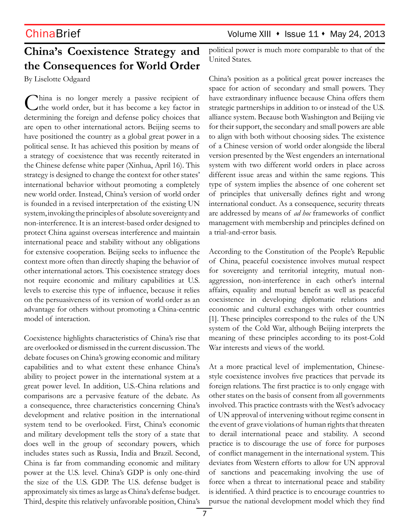# **China's Coexistence Strategy and the Consequences for World Order**

By Liselotte Odgaard

China is no longer merely a passive recipient of the world order, but it has become a key factor in determining the foreign and defense policy choices that are open to other international actors. Beijing seems to have positioned the country as a global great power in a political sense. It has achieved this position by means of a strategy of coexistence that was recently reiterated in the Chinese defense white paper (Xinhua, April 16). This strategy is designed to change the context for other states' international behavior without promoting a completely new world order. Instead, China's version of world order is founded in a revised interpretation of the existing UN system, invoking the principles of absolute sovereignty and non-interference. It is an interest-based order designed to protect China against overseas interference and maintain international peace and stability without any obligations for extensive cooperation. Beijing seeks to influence the context more often than directly shaping the behavior of other international actors. This coexistence strategy does not require economic and military capabilities at U.S. levels to exercise this type of influence, because it relies on the persuasiveness of its version of world order as an advantage for others without promoting a China-centric model of interaction.

Coexistence highlights characteristics of China's rise that are overlooked or dismissed in the current discussion. The debate focuses on China's growing economic and military capabilities and to what extent these enhance China's ability to project power in the international system at a great power level. In addition, U.S.-China relations and comparisons are a pervasive feature of the debate. As a consequence, three characteristics concerning China's development and relative position in the international system tend to be overlooked. First, China's economic and military development tells the story of a state that does well in the group of secondary powers, which includes states such as Russia, India and Brazil. Second, China is far from commanding economic and military power at the U.S. level. China's GDP is only one-third the size of the U.S. GDP. The U.S. defense budget is approximately six times as large as China's defense budget. Third, despite this relatively unfavorable position, China's

political power is much more comparable to that of the United States.

China's position as a political great power increases the space for action of secondary and small powers. They have extraordinary influence because China offers them strategic partnerships in addition to or instead of the U.S. alliance system. Because both Washington and Beijing vie for their support, the secondary and small powers are able to align with both without choosing sides. The existence of a Chinese version of world order alongside the liberal version presented by the West engenders an international system with two different world orders in place across different issue areas and within the same regions. This type of system implies the absence of one coherent set of principles that universally defines right and wrong international conduct. As a consequence, security threats are addressed by means of *ad hoc* frameworks of conflict management with membership and principles defined on a trial-and-error basis.

According to the Constitution of the People's Republic of China, peaceful coexistence involves mutual respect for sovereignty and territorial integrity, mutual nonaggression, non-interference in each other's internal affairs, equality and mutual benefit as well as peaceful coexistence in developing diplomatic relations and economic and cultural exchanges with other countries [1]. These principles correspond to the rules of the UN system of the Cold War, although Beijing interprets the meaning of these principles according to its post-Cold War interests and views of the world.

At a more practical level of implementation, Chinesestyle coexistence involves five practices that pervade its foreign relations. The first practice is to only engage with other states on the basis of consent from all governments involved. This practice contrasts with the West's advocacy of UN approval of intervening without regime consent in the event of grave violations of human rights that threaten to derail international peace and stability. A second practice is to discourage the use of force for purposes of conflict management in the international system. This deviates from Western efforts to allow for UN approval of sanctions and peacemaking involving the use of force when a threat to international peace and stability is identified. A third practice is to encourage countries to pursue the national development model which they find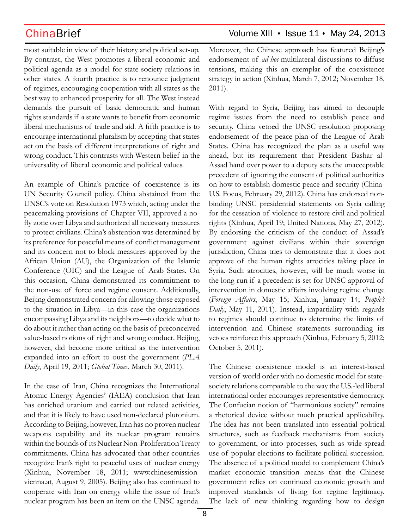most suitable in view of their history and political set-up. By contrast, the West promotes a liberal economic and political agenda as a model for state-society relations in other states. A fourth practice is to renounce judgment of regimes, encouraging cooperation with all states as the best way to enhanced prosperity for all. The West instead demands the pursuit of basic democratic and human rights standards if a state wants to benefit from economic liberal mechanisms of trade and aid. A fifth practice is to encourage international pluralism by accepting that states act on the basis of different interpretations of right and wrong conduct. This contrasts with Western belief in the universality of liberal economic and political values.

An example of China's practice of coexistence is its UN Security Council policy. China abstained from the UNSC's vote on Resolution 1973 which, acting under the peacemaking provisions of Chapter VII, approved a nofly zone over Libya and authorized all necessary measures to protect civilians. China's abstention was determined by its preference for peaceful means of conflict management and its concern not to block measures approved by the African Union (AU), the Organization of the Islamic Conference (OIC) and the League of Arab States. On this occasion, China demonstrated its commitment to the non-use of force and regime consent. Additionally, Beijing demonstrated concern for allowing those exposed to the situation in Libya—in this case the organizations encompassing Libya and its neighbors—to decide what to do about it rather than acting on the basis of preconceived value-based notions of right and wrong conduct. Beijing, however, did become more critical as the intervention expanded into an effort to oust the government (*PLA Daily*, April 19, 2011; *Global Times*, March 30, 2011).

In the case of Iran, China recognizes the International Atomic Energy Agencies' (IAEA) conclusion that Iran has enriched uranium and carried out related activities, and that it is likely to have used non-declared plutonium. According to Beijing, however, Iran has no proven nuclear weapons capability and its nuclear program remains within the bounds of its Nuclear Non-Proliferation Treaty commitments. China has advocated that other countries recognize Iran's right to peaceful uses of nuclear energy (Xinhua, November 18, 2011; www.chinesemissionvienna.at, August 9, 2005). Beijing also has continued to cooperate with Iran on energy while the issue of Iran's nuclear program has been an item on the UNSC agenda.

Moreover, the Chinese approach has featured Beijing's endorsement of *ad hoc* multilateral discussions to diffuse tensions, making this an exemplar of the coexistence strategy in action (Xinhua, March 7, 2012; November 18, 2011).

With regard to Syria, Beijing has aimed to decouple regime issues from the need to establish peace and security. China vetoed the UNSC resolution proposing endorsement of the peace plan of the League of Arab States. China has recognized the plan as a useful way ahead, but its requirement that President Bashar al-Assad hand over power to a deputy sets the unacceptable precedent of ignoring the consent of political authorities on how to establish domestic peace and security (China-U.S. Focus, February 29, 2012). China has endorsed nonbinding UNSC presidential statements on Syria calling for the cessation of violence to restore civil and political rights (Xinhua, April 19; United Nations, May 27, 2012). By endorsing the criticism of the conduct of Assad's government against civilians within their sovereign jurisdiction, China tries to demonstrate that it does not approve of the human rights atrocities taking place in Syria. Such atrocities, however, will be much worse in the long run if a precedent is set for UNSC approval of intervention in domestic affairs involving regime change (*Foreign Affairs*, May 15; Xinhua, January 14; *People's Daily*, May 11, 2011). Instead, impartiality with regards to regimes should continue to determine the limits of intervention and Chinese statements surrounding its vetoes reinforce this approach (Xinhua, February 5, 2012; October 5, 2011).

The Chinese coexistence model is an interest-based version of world order with no domestic model for statesociety relations comparable to the way the U.S.-led liberal international order encourages representative democracy. The Confucian notion of "harmonious society" remains a rhetorical device without much practical applicability. The idea has not been translated into essential political structures, such as feedback mechanisms from society to government, or into processes, such as wide-spread use of popular elections to facilitate political succession. The absence of a political model to complement China's market economic transition means that the Chinese government relies on continued economic growth and improved standards of living for regime legitimacy. The lack of new thinking regarding how to design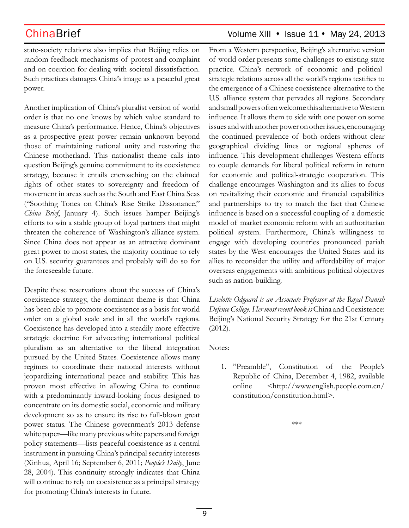state-society relations also implies that Beijing relies on random feedback mechanisms of protest and complaint and on coercion for dealing with societal dissatisfaction. Such practices damages China's image as a peaceful great power.

Another implication of China's pluralist version of world order is that no one knows by which value standard to measure China's performance. Hence, China's objectives as a prospective great power remain unknown beyond those of maintaining national unity and restoring the Chinese motherland. This nationalist theme calls into question Beijing's genuine commitment to its coexistence strategy, because it entails encroaching on the claimed rights of other states to sovereignty and freedom of movement in areas such as the South and East China Seas ("Soothing Tones on China's Rise Strike Dissonance," *China Brief*, January 4). Such issues hamper Beijing's efforts to win a stable group of loyal partners that might threaten the coherence of Washington's alliance system. Since China does not appear as an attractive dominant great power to most states, the majority continue to rely on U.S. security guarantees and probably will do so for the foreseeable future.

Despite these reservations about the success of China's coexistence strategy, the dominant theme is that China has been able to promote coexistence as a basis for world order on a global scale and in all the world's regions. Coexistence has developed into a steadily more effective strategic doctrine for advocating international political pluralism as an alternative to the liberal integration pursued by the United States. Coexistence allows many regimes to coordinate their national interests without jeopardizing international peace and stability. This has proven most effective in allowing China to continue with a predominantly inward-looking focus designed to concentrate on its domestic social, economic and military development so as to ensure its rise to full-blown great power status. The Chinese government's 2013 defense white paper—like many previous white papers and foreign policy statements—lists peaceful coexistence as a central instrument in pursuing China's principal security interests (Xinhua, April 16; September 6, 2011; *People's Daily*, June 28, 2004). This continuity strongly indicates that China will continue to rely on coexistence as a principal strategy for promoting China's interests in future.

From a Western perspective, Beijing's alternative version of world order presents some challenges to existing state practice. China's network of economic and politicalstrategic relations across all the world's regions testifies to the emergence of a Chinese coexistence-alternative to the U.S. alliance system that pervades all regions. Secondary and small powers often welcome this alternative to Western influence. It allows them to side with one power on some issues and with another power on other issues, encouraging the continued prevalence of both orders without clear geographical dividing lines or regional spheres of influence. This development challenges Western efforts to couple demands for liberal political reform in return for economic and political-strategic cooperation. This challenge encourages Washington and its allies to focus on revitalizing their economic and financial capabilities and partnerships to try to match the fact that Chinese influence is based on a successful coupling of a domestic model of market economic reform with an authoritarian political system. Furthermore, China's willingness to engage with developing countries pronounced pariah states by the West encourages the United States and its allies to reconsider the utility and affordability of major overseas engagements with ambitious political objectives such as nation-building.

*Liselotte Odgaard is an Associate Professor at the Royal Danish Defence College. Her most recent book is* China and Coexistence: Beijing's National Security Strategy for the 21st Century (2012)*.*

Notes:

1. "Preamble", Constitution of the People's Republic of China, December 4, 1982, available online <http://www.english.people.com.cn/ constitution/constitution.html>.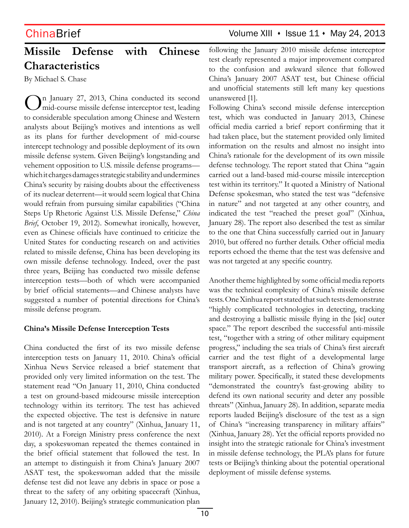### ChinaBrief **ChinaBrief** Volume XIII • Issue 11 • May 24, 2013

# **Missile Defense with Chinese Characteristics**

By Michael S. Chase

In January 27, 2013, China conducted its second mid-course missile defense interceptor test, leading to considerable speculation among Chinese and Western analysts about Beijing's motives and intentions as well as its plans for further development of mid-course intercept technology and possible deployment of its own missile defense system. Given Beijing's longstanding and vehement opposition to U.S. missile defense programs which it charges damages strategic stability and undermines China's security by raising doubts about the effectiveness of its nuclear deterrent—it would seem logical that China would refrain from pursuing similar capabilities ("China Steps Up Rhetoric Against U.S. Missile Defense," *China Brief*, October 19, 2012). Somewhat ironically, however, even as Chinese officials have continued to criticize the United States for conducting research on and activities related to missile defense, China has been developing its own missile defense technology. Indeed, over the past three years, Beijing has conducted two missile defense interception tests—both of which were accompanied by brief official statements—and Chinese analysts have suggested a number of potential directions for China's missile defense program.

### **China's Missile Defense Interception Tests**

China conducted the first of its two missile defense interception tests on January 11, 2010. China's official Xinhua News Service released a brief statement that provided only very limited information on the test. The statement read "On January 11, 2010, China conducted a test on ground-based midcourse missile interception technology within its territory. The test has achieved the expected objective. The test is defensive in nature and is not targeted at any country" (Xinhua, January 11, 2010). At a Foreign Ministry press conference the next day, a spokeswoman repeated the themes contained in the brief official statement that followed the test. In an attempt to distinguish it from China's January 2007 ASAT test, the spokeswoman added that the missile defense test did not leave any debris in space or pose a threat to the safety of any orbiting spacecraft (Xinhua, January 12, 2010). Beijing's strategic communication plan following the January 2010 missile defense interceptor test clearly represented a major improvement compared to the confusion and awkward silence that followed China's January 2007 ASAT test, but Chinese official and unofficial statements still left many key questions unanswered [1].

Following China's second missile defense interception test, which was conducted in January 2013, Chinese official media carried a brief report confirming that it had taken place, but the statement provided only limited information on the results and almost no insight into China's rationale for the development of its own missile defense technology. The report stated that China "again carried out a land-based mid-course missile interception test within its territory." It quoted a Ministry of National Defense spokesman, who stated the test was "defensive in nature" and not targeted at any other country, and indicated the test "reached the preset goal" (Xinhua, January 28). The report also described the test as similar to the one that China successfully carried out in January 2010, but offered no further details. Other official media reports echoed the theme that the test was defensive and was not targeted at any specific country.

Another theme highlighted by some official media reports was the technical complexity of China's missile defense tests. One Xinhua report stated that such tests demonstrate "highly complicated technologies in detecting, tracking and destroying a ballistic missile flying in the [sic] outer space." The report described the successful anti-missile test, "together with a string of other military equipment progress," including the sea trials of China's first aircraft carrier and the test flight of a developmental large transport aircraft, as a reflection of China's growing military power. Specifically, it stated these developments "demonstrated the country's fast-growing ability to defend its own national security and deter any possible threats" (Xinhua, January 28). In addition, separate media reports lauded Beijing's disclosure of the test as a sign of China's "increasing transparency in military affairs" (Xinhua, January 28). Yet the official reports provided no insight into the strategic rationale for China's investment in missile defense technology, the PLA's plans for future tests or Beijing's thinking about the potential operational deployment of missile defense systems.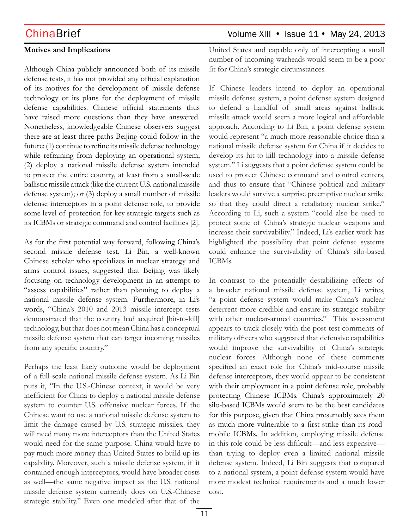### **Motives and Implications**

Although China publicly announced both of its missile defense tests, it has not provided any official explanation of its motives for the development of missile defense technology or its plans for the deployment of missile defense capabilities. Chinese official statements thus have raised more questions than they have answered. Nonetheless, knowledgeable Chinese observers suggest there are at least three paths Beijing could follow in the future: (1) continue to refine its missile defense technology while refraining from deploying an operational system; (2) deploy a national missile defense system intended to protect the entire country, at least from a small-scale ballistic missile attack (like the current U.S. national missile defense system); or (3) deploy a small number of missile defense interceptors in a point defense role, to provide some level of protection for key strategic targets such as its ICBMs or strategic command and control facilities [2].

As for the first potential way forward, following China's second missile defense test, Li Bin, a well-known Chinese scholar who specializes in nuclear strategy and arms control issues, suggested that Beijing was likely focusing on technology development in an attempt to "assess capabilities" rather than planning to deploy a national missile defense system. Furthermore, in Li's words, "China's 2010 and 2013 missile intercept tests demonstrated that the country had acquired [hit-to-kill] technology, but that does not mean China has a conceptual missile defense system that can target incoming missiles from any specific country."

Perhaps the least likely outcome would be deployment of a full-scale national missile defense system. As Li Bin puts it, "In the U.S.-Chinese context, it would be very inefficient for China to deploy a national missile defense system to counter U.S. offensive nuclear forces. If the Chinese want to use a national missile defense system to limit the damage caused by U.S. strategic missiles, they will need many more interceptors than the United States would need for the same purpose. China would have to pay much more money than United States to build up its capability. Moreover, such a missile defense system, if it contained enough interceptors, would have broader costs as well—the same negative impact as the U.S. national missile defense system currently does on U.S.-Chinese strategic stability." Even one modeled after that of the

### ChinaBrief Volume XIII • Issue 11 • May 24, 2013

United States and capable only of intercepting a small number of incoming warheads would seem to be a poor fit for China's strategic circumstances.

If Chinese leaders intend to deploy an operational missile defense system, a point defense system designed to defend a handful of small areas against ballistic missile attack would seem a more logical and affordable approach. According to Li Bin, a point defense system would represent "a much more reasonable choice than a national missile defense system for China if it decides to develop its hit-to-kill technology into a missile defense system." Li suggests that a point defense system could be used to protect Chinese command and control centers, and thus to ensure that "Chinese political and military leaders would survive a surprise preemptive nuclear strike so that they could direct a retaliatory nuclear strike." According to Li, such a system "could also be used to protect some of China's strategic nuclear weapons and increase their survivability." Indeed, Li's earlier work has highlighted the possibility that point defense systems could enhance the survivability of China's silo-based ICBMs.

In contrast to the potentially destabilizing effects of a broader national missile defense system, Li writes, "a point defense system would make China's nuclear deterrent more credible and ensure its strategic stability with other nuclear-armed countries." This assessment appears to track closely with the post-test comments of military officers who suggested that defensive capabilities would improve the survivability of China's strategic nuclear forces. Although none of these comments specified an exact role for China's mid-course missile defense interceptors, they would appear to be consistent with their employment in a point defense role, probably protecting Chinese ICBMs. China's approximately 20 silo-based ICBMs would seem to be the best candidates for this purpose, given that China presumably sees them as much more vulnerable to a first-strike than its roadmobile ICBMs. In addition, employing missile defense in this role could be less difficult—and less expensive than trying to deploy even a limited national missile defense system. Indeed, Li Bin suggests that compared to a national system, a point defense system would have more modest technical requirements and a much lower cost.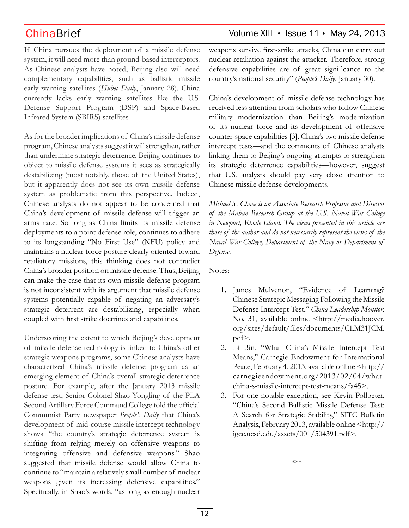If China pursues the deployment of a missile defense system, it will need more than ground-based interceptors. As Chinese analysts have noted, Beijing also will need complementary capabilities, such as ballistic missile early warning satellites (*Hubei Daily*, January 28). China currently lacks early warning satellites like the U.S. Defense Support Program (DSP) and Space-Based Infrared System (SBIRS) satellites.

As for the broader implications of China's missile defense program, Chinese analysts suggest it will strengthen, rather than undermine strategic deterrence. Beijing continues to object to missile defense systems it sees as strategically destabilizing (most notably, those of the United States), but it apparently does not see its own missile defense system as problematic from this perspective. Indeed, Chinese analysts do not appear to be concerned that China's development of missile defense will trigger an arms race. So long as China limits its missile defense deployments to a point defense role, continues to adhere to its longstanding "No First Use" (NFU) policy and maintains a nuclear force posture clearly oriented toward retaliatory missions, this thinking does not contradict China's broader position on missile defense. Thus, Beijing can make the case that its own missile defense program is not inconsistent with its argument that missile defense systems potentially capable of negating an adversary's strategic deterrent are destabilizing, especially when coupled with first strike doctrines and capabilities.

Underscoring the extent to which Beijing's development of missile defense technology is linked to China's other strategic weapons programs, some Chinese analysts have characterized China's missile defense program as an emerging element of China's overall strategic deterrence posture. For example, after the January 2013 missile defense test, Senior Colonel Shao Yongling of the PLA Second Artillery Force Command College told the official Communist Party newspaper *People's Daily* that China's development of mid-course missile intercept technology shows "the country's strategic deterrence system is shifting from relying merely on offensive weapons to integrating offensive and defensive weapons." Shao suggested that missile defense would allow China to continue to "maintain a relatively small number of nuclear weapons given its increasing defensive capabilities." Specifically, in Shao's words, "as long as enough nuclear

### $ChinaBrief$  Volume XIII  $\cdot$  Issue 11  $\cdot$  May 24, 2013

weapons survive first-strike attacks, China can carry out nuclear retaliation against the attacker. Therefore, strong defensive capabilities are of great significance to the country's national security" (*People's Daily*, January 30).

China's development of missile defense technology has received less attention from scholars who follow Chinese military modernization than Beijing's modernization of its nuclear force and its development of offensive counter-space capabilities [3]. China's two missile defense intercept tests—and the comments of Chinese analysts linking them to Beijing's ongoing attempts to strengthen its strategic deterrence capabilities—however, suggest that U.S. analysts should pay very close attention to Chinese missile defense developments.

*Michael S. Chase is an Associate Research Professor and Director of the Mahan Research Group at the U.S. Naval War College in Newport, Rhode Island. The views presented in this article are those of the author and do not necessarily represent the views of the Naval War College, Department of the Navy or Department of Defense.*

Notes:

- 1. James Mulvenon, "Evidence of Learning? Chinese Strategic Messaging Following the Missile Defense Intercept Test," *China Leadership Monitor*, No. 31, available online <http://media.hoover. org/sites/default/files/documents/CLM31JCM. pdf>.
- 2. Li Bin, "What China's Missile Intercept Test Means," Carnegie Endowment for International Peace, February 4, 2013, available online <http:// carnegieendowment.org/2013/02/04/whatchina-s-missile-intercept-test-means/fa45>.
- 3. For one notable exception, see Kevin Pollpeter, "China's Second Ballistic Missile Defense Test: A Search for Strategic Stability," SITC Bulletin Analysis, February 2013, available online <http:// igcc.ucsd.edu/assets/001/504391.pdf>.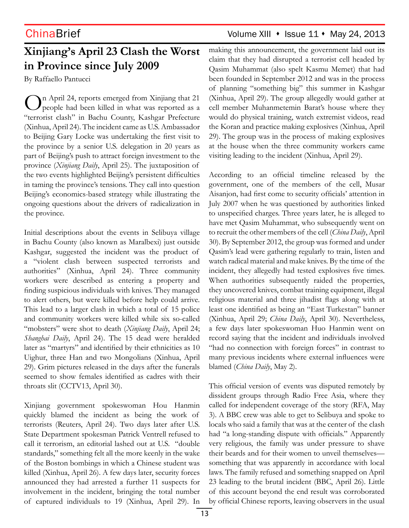# **Xinjiang's April 23 Clash the Worst in Province since July 2009**

By Raffaello Pantucci

On April 24, reports emerged from Xinjiang that 21 people had been killed in what was reported as a "terrorist clash" in Bachu County, Kashgar Prefecture (Xinhua, April 24). The incident came as U.S. Ambassador to Beijing Gary Locke was undertaking the first visit to the province by a senior U.S. delegation in 20 years as part of Beijing's push to attract foreign investment to the province (*Xinjiang Daily*, April 25). The juxtaposition of the two events highlighted Beijing's persistent difficulties in taming the province's tensions. They call into question Beijing's economics-based strategy while illustrating the ongoing questions about the drivers of radicalization in the province.

Initial descriptions about the events in Selibuya village in Bachu County (also known as Maralbexi) just outside Kashgar, suggested the incident was the product of a "violent clash between suspected terrorists and authorities" (Xinhua, April 24). Three community workers were described as entering a property and finding suspicious individuals with knives. They managed to alert others, but were killed before help could arrive. This lead to a larger clash in which a total of 15 police and community workers were killed while six so-called "mobsters" were shot to death (*Xinjiang Daily*, April 24; *Shanghai Daily*, April 24). The 15 dead were heralded later as "martyrs" and identified by their ethnicities as 10 Uighur, three Han and two Mongolians (Xinhua, April 29). Grim pictures released in the days after the funerals seemed to show females identified as cadres with their throats slit (CCTV13, April 30).

Xinjiang government spokeswoman Hou Hanmin quickly blamed the incident as being the work of terrorists (Reuters, April 24). Two days later after U.S. State Department spokesman Patrick Ventrell refused to call it terrorism, an editorial lashed out at U.S. "double standards," something felt all the more keenly in the wake of the Boston bombings in which a Chinese student was killed (Xinhua, April 26). A few days later, security forces announced they had arrested a further 11 suspects for involvement in the incident, bringing the total number of captured individuals to 19 (Xinhua, April 29). In

## ChinaBrief Volume XIII • Issue 11 • May 24, 2013

making this announcement, the government laid out its claim that they had disrupted a terrorist cell headed by Qasim Muhammat (also spelt Kasmu Memet) that had been founded in September 2012 and was in the process of planning "something big" this summer in Kashgar (Xinhua, April 29). The group allegedly would gather at cell member Muhanmetemin Barat's house where they would do physical training, watch extremist videos, read the Koran and practice making explosives (Xinhua, April 29). The group was in the process of making explosives at the house when the three community workers came visiting leading to the incident (Xinhua, April 29).

According to an official timeline released by the government, one of the members of the cell, Musar Aisanjon, had first come to security officials' attention in July 2007 when he was questioned by authorities linked to unspecified charges. Three years later, he is alleged to have met Qasim Muhammat, who subsequently went on to recruit the other members of the cell (*China Daily*, April 30). By September 2012, the group was formed and under Qasim's lead were gathering regularly to train, listen and watch radical material and make knives. By the time of the incident, they allegedly had tested explosives five times. When authorities subsequently raided the properties, they uncovered knives, combat training equipment, illegal religious material and three jihadist flags along with at least one identified as being an "East Turkestan" banner (Xinhua, April 29; *China Daily*, April 30). Nevertheless, a few days later spokeswoman Huo Hanmin went on record saying that the incident and individuals involved "had no connection with foreign forces" in contrast to many previous incidents where external influences were blamed (*China Daily*, May 2).

This official version of events was disputed remotely by dissident groups through Radio Free Asia, where they called for independent coverage of the story (RFA, May 3). A BBC crew was able to get to Selibuya and spoke to locals who said a family that was at the center of the clash had "a long-standing dispute with officials." Apparently very religious, the family was under pressure to shave their beards and for their women to unveil themselves something that was apparently in accordance with local laws. The family refused and something snapped on April 23 leading to the brutal incident (BBC, April 26). Little of this account beyond the end result was corroborated by official Chinese reports, leaving observers in the usual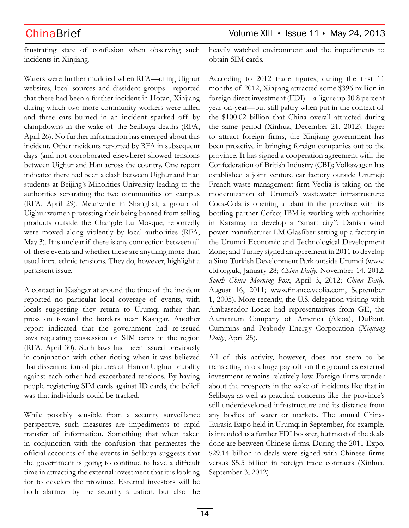frustrating state of confusion when observing such incidents in Xinjiang.

Waters were further muddied when RFA—citing Uighur websites, local sources and dissident groups—reported that there had been a further incident in Hotan, Xinjiang during which two more community workers were killed and three cars burned in an incident sparked off by clampdowns in the wake of the Selibuya deaths (RFA, April 26). No further information has emerged about this incident. Other incidents reported by RFA in subsequent days (and not corroborated elsewhere) showed tensions between Uighur and Han across the country. One report indicated there had been a clash between Uighur and Han students at Beijing's Minorities University leading to the authorities separating the two communities on campus (RFA, April 29). Meanwhile in Shanghai, a group of Uighur women protesting their being banned from selling products outside the Changde Lu Mosque, reportedly were moved along violently by local authorities (RFA, May 3). It is unclear if there is any connection between all of these events and whether these are anything more than usual intra-ethnic tensions. They do, however, highlight a persistent issue.

A contact in Kashgar at around the time of the incident reported no particular local coverage of events, with locals suggesting they return to Urumqi rather than press on toward the borders near Kashgar. Another report indicated that the government had re-issued laws regulating possession of SIM cards in the region (RFA, April 30). Such laws had been issued previously in conjunction with other rioting when it was believed that dissemination of pictures of Han or Uighur brutality against each other had exacerbated tensions. By having people registering SIM cards against ID cards, the belief was that individuals could be tracked.

While possibly sensible from a security surveillance perspective, such measures are impediments to rapid transfer of information. Something that when taken in conjunction with the confusion that permeates the official accounts of the events in Selibuya suggests that the government is going to continue to have a difficult time in attracting the external investment that it is looking for to develop the province. External investors will be both alarmed by the security situation, but also the

heavily watched environment and the impediments to obtain SIM cards.

According to 2012 trade figures, during the first 11 months of 2012, Xinjiang attracted some \$396 million in foreign direct investment (FDI)—a figure up 30.8 percent year-on-year—but still paltry when put in the context of the \$100.02 billion that China overall attracted during the same period (Xinhua, December 21, 2012). Eager to attract foreign firms, the Xinjiang government has been proactive in bringing foreign companies out to the province. It has signed a cooperation agreement with the Confederation of British Industry (CBI); Volkswagen has established a joint venture car factory outside Urumqi; French waste management firm Veolia is taking on the modernization of Urumqi's wastewater infrastructure; Coca-Cola is opening a plant in the province with its bottling partner Cofco; IBM is working with authorities in Karamay to develop a "smart city"; Danish wind power manufacturer LM Glasfiber setting up a factory in the Urumqi Economic and Technological Development Zone; and Turkey signed an agreement in 2011 to develop a Sino-Turkish Development Park outside Urumqi (www. cbi.org.uk, January 28; *China Daily*, November 14, 2012; *South China Morning Post*, April 3, 2012; *China Daily*, August 16, 2011; www.finance.veolia.com, September 1, 2005). More recently, the U.S. delegation visiting with Ambassador Locke had representatives from GE, the Aluminium Company of America (Alcoa), DuPont, Cummins and Peabody Energy Corporation (*Xinjiang Daily*, April 25).

All of this activity, however, does not seem to be translating into a huge pay-off on the ground as external investment remains relatively low. Foreign firms wonder about the prospects in the wake of incidents like that in Selibuya as well as practical concerns like the province's still underdeveloped infrastructure and its distance from any bodies of water or markets. The annual China-Eurasia Expo held in Urumqi in September, for example, is intended as a further FDI booster, but most of the deals done are between Chinese firms. During the 2011 Expo, \$29.14 billion in deals were signed with Chinese firms versus \$5.5 billion in foreign trade contracts (Xinhua, September 3, 2012).